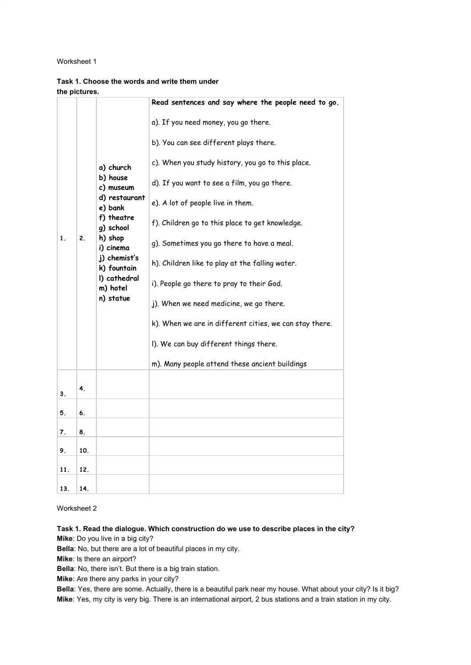#### Worksheet 1

|                |     |                                                                                                                                                                                           | Read sentences and say where the people need to go.                                                                                                                                                                                                                                                                                                                                                                                                                                                                                                                                                                         |
|----------------|-----|-------------------------------------------------------------------------------------------------------------------------------------------------------------------------------------------|-----------------------------------------------------------------------------------------------------------------------------------------------------------------------------------------------------------------------------------------------------------------------------------------------------------------------------------------------------------------------------------------------------------------------------------------------------------------------------------------------------------------------------------------------------------------------------------------------------------------------------|
| $\mathbf{1}$ . | 2.  | a) church<br>b) house<br>c) museum<br>d) restaurant<br>e) bank<br>f) theatre<br>g) school<br>h) shop<br>i) cinema<br>j) chemist's<br>k) fountain<br>I) cathedral<br>m) hotel<br>n) statue | a). If you need money, you go there.<br>b). You can see different plays there.<br>c). When you study history, you go to this place.<br>d). If you want to see a film, you go there.<br>e). A lot of people live in them.<br>f). Children go to this place to get knowledge.<br>g). Sometimes you go there to have a meal.<br>h). Children like to play at the falling water.<br>i). People go there to pray to their God.<br>j). When we need medicine, we go there.<br>k). When we are in different cities, we can stay there.<br>I). We can buy different things there.<br>m). Many people attend these ancient buildings |
| 3.             | 4.  |                                                                                                                                                                                           |                                                                                                                                                                                                                                                                                                                                                                                                                                                                                                                                                                                                                             |
| 5.             | 6.  |                                                                                                                                                                                           |                                                                                                                                                                                                                                                                                                                                                                                                                                                                                                                                                                                                                             |
| 7.             | 8.  |                                                                                                                                                                                           |                                                                                                                                                                                                                                                                                                                                                                                                                                                                                                                                                                                                                             |
| 9.             | 10. |                                                                                                                                                                                           |                                                                                                                                                                                                                                                                                                                                                                                                                                                                                                                                                                                                                             |
| 11.            | 12. |                                                                                                                                                                                           |                                                                                                                                                                                                                                                                                                                                                                                                                                                                                                                                                                                                                             |
| 13.            | 14. |                                                                                                                                                                                           |                                                                                                                                                                                                                                                                                                                                                                                                                                                                                                                                                                                                                             |

# **Task 1. Choose the words and write them under the pictures.**

Worksheet 2

**Task 1. Read the dialogue. Which construction do we use to describe places in the city?**

**Mike**: Do you live in a big city?

**Bella**: No, but there are a lot of beautiful places in my city.

**Mike**: Is there an airport?

**Bella**: No, there isn't. But there is a big train station.

**Mike**: Are there any parks in your city?

**Bella**: Yes, there are some. Actually, there is a beautiful park near my house. What about your city? Is it big? **Mike**: Yes, my city is very big. There is an international airport, 2 bus stations and a train station in my city.